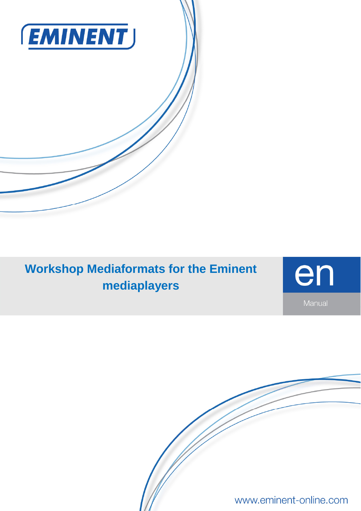

# **Workshop Mediaformats for the Eminent mediaplayers**



www.eminent-online.com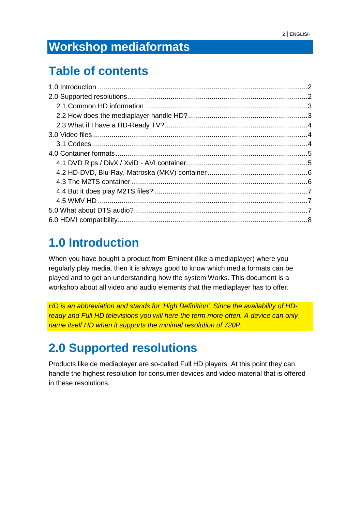## **Workshop mediaformats**

### **Table of contents**

### **1.0 Introduction**

When you have bought a product from Eminent (like a mediaplayer) where you regularly play media, then it is always good to know which media formats can be played and to get an understanding how the system Works. This document is a workshop about all video and audio elements that the mediaplayer has to offer.

HD is an abbreviation and stands for 'High Definition'. Since the availability of HDready and Full HD televisions you will here the term more often. A device can only name itself HD when it supports the minimal resolution of 720P.

## **2.0 Supported resolutions**

Products like de mediaplayer are so-called Full HD players. At this point they can handle the highest resolution for consumer devices and video material that is offered in these resolutions.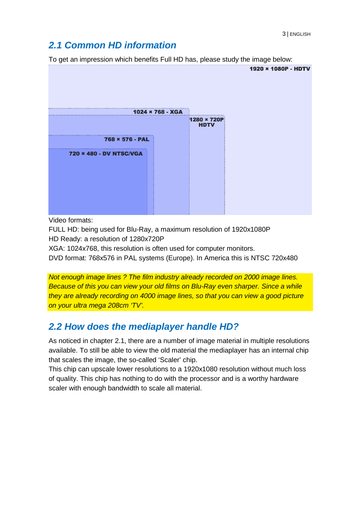#### **2.1 Common HD information**

To get an impression which benefits Full HD has, please study the image below:



Video formats:

FULL HD: being used for Blu-Ray, a maximum resolution of 1920x1080P HD Ready: a resolution of 1280x720P

XGA: 1024x768, this resolution is often used for computer monitors.

DVD format: 768x576 in PAL systems (Europe). In America this is NTSC 720x480

Not enough image lines ? The film industry already recorded on 2000 image lines. Because of this you can view your old films on Blu-Ray even sharper. Since a while they are already recording on 4000 image lines, so that you can view a good picture on your ultra mega 208cm 'TV'.

#### **2.2 How does the mediaplayer handle HD?**

As noticed in chapter 2.1, there are a number of image material in multiple resolutions available. To still be able to view the old material the mediaplayer has an internal chip that scales the image, the so-called 'Scaler' chip.

This chip can upscale lower resolutions to a 1920x1080 resolution without much loss of quality. This chip has nothing to do with the processor and is a worthy hardware scaler with enough bandwidth to scale all material.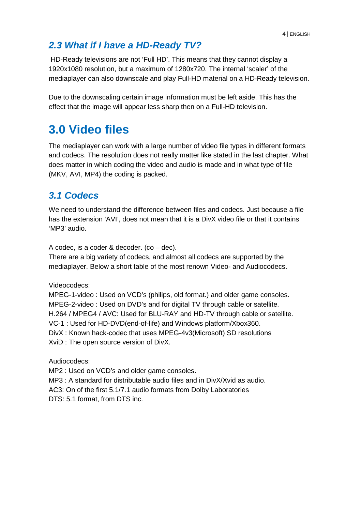### **2.3 What if I have a HD-Ready TV?**

 HD-Ready televisions are not 'Full HD'. This means that they cannot display a 1920x1080 resolution, but a maximum of 1280x720. The internal 'scaler' of the mediaplayer can also downscale and play Full-HD material on a HD-Ready television.

Due to the downscaling certain image information must be left aside. This has the effect that the image will appear less sharp then on a Full-HD television.

# **3.0 Video files**

The mediaplayer can work with a large number of video file types in different formats and codecs. The resolution does not really matter like stated in the last chapter. What does matter in which coding the video and audio is made and in what type of file (MKV, AVI, MP4) the coding is packed.

### **3.1 Codecs**

We need to understand the difference between files and codecs. Just because a file has the extension 'AVI', does not mean that it is a DivX video file or that it contains 'MP3' audio.

A codec, is a coder & decoder. (co – dec).

There are a big variety of codecs, and almost all codecs are supported by the mediaplayer. Below a short table of the most renown Video- and Audiocodecs.

Videocodecs:

MPEG-1-video : Used on VCD's (philips, old format.) and older game consoles. MPEG-2-video : Used on DVD's and for digital TV through cable or satellite. H.264 / MPEG4 / AVC: Used for BLU-RAY and HD-TV through cable or satellite. VC-1 : Used for HD-DVD(end-of-life) and Windows platform/Xbox360. DivX : Known hack-codec that uses MPEG-4v3(Microsoft) SD resolutions XviD : The open source version of DivX.

Audiocodecs:

MP2 : Used on VCD's and older game consoles.

MP3 : A standard for distributable audio files and in DivX/Xvid as audio.

AC3: On of the first 5.1/7.1 audio formats from Dolby Laboratories

DTS: 5.1 format, from DTS inc.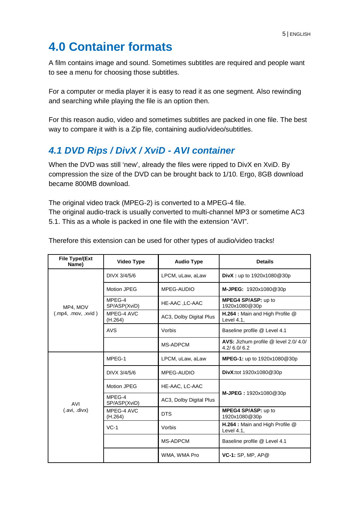# **4.0 Container formats**

A film contains image and sound. Sometimes subtitles are required and people want to see a menu for choosing those subtitles.

For a computer or media player it is easy to read it as one segment. Also rewinding and searching while playing the file is an option then.

For this reason audio, video and sometimes subtitles are packed in one file. The best way to compare it with is a Zip file, containing audio/video/subtitles.

#### **4.1 DVD Rips / DivX / XviD - AVI container**

When the DVD was still 'new', already the files were ripped to DivX en XviD. By compression the size of the DVD can be brought back to 1/10. Ergo, 8GB download became 800MB download.

The original video track (MPEG-2) is converted to a MPEG-4 file. The original audio-track is usually converted to multi-channel MP3 or sometime AC3 5.1. This as a whole is packed in one file with the extension "AVI".

| File Type/(Ext<br>Name)      | Video Type             | <b>Audio Type</b>       | <b>Details</b>                                       |  |  |  |
|------------------------------|------------------------|-------------------------|------------------------------------------------------|--|--|--|
| MP4, MOV<br>(mp4, mov, xvid) | DIVX 3/4/5/6           | LPCM, uLaw, aLaw        | <b>DivX</b> : up to $1920x1080@30p$                  |  |  |  |
|                              | Motion JPEG            | MPEG-AUDIO              | M-JPEG: 1920x1080@30p                                |  |  |  |
|                              | MPEG-4<br>SP/ASP(XviD) | HE-AAC ,LC-AAC          | MPEG4 SP/ASP: up to<br>1920x1080@30p                 |  |  |  |
|                              | MPEG-4 AVC<br>(H.264)  | AC3, Dolby Digital Plus | H.264 : Main and High Profile @<br>Level 4.1.        |  |  |  |
|                              | <b>AVS</b>             | Vorbis                  | Baseline profile @ Level 4.1                         |  |  |  |
|                              |                        | MS-ADPCM                | AVS: Jizhum profile @ level 2.0/ 4.0/<br>4.2/6.0/6.2 |  |  |  |
|                              | MPEG-1                 | LPCM, uLaw, aLaw        | MPEG-1: up to 1920x1080@30p                          |  |  |  |
|                              | DIVX 3/4/5/6           | MPEG-AUDIO              | DivX:tot 1920x1080@30p                               |  |  |  |
|                              | Motion JPEG            | HE-AAC, LC-AAC          |                                                      |  |  |  |
| <b>AVI</b>                   | MPEG-4<br>SP/ASP(XviD) | AC3, Dolby Digital Plus | M-JPEG: 1920x1080@30p                                |  |  |  |
| (.avi, .divx)                | MPEG-4 AVC<br>(H.264)  | <b>DTS</b>              | MPEG4 SP/ASP: up to<br>1920x1080@30p                 |  |  |  |
|                              | $VC-1$                 | Vorbis                  | H.264 : Main and High Profile @<br>Level 4.1.        |  |  |  |
|                              |                        | <b>MS-ADPCM</b>         | Baseline profile @ Level 4.1                         |  |  |  |
|                              |                        | WMA, WMA Pro            | VC-1: SP, MP, AP@                                    |  |  |  |

Therefore this extension can be used for other types of audio/video tracks!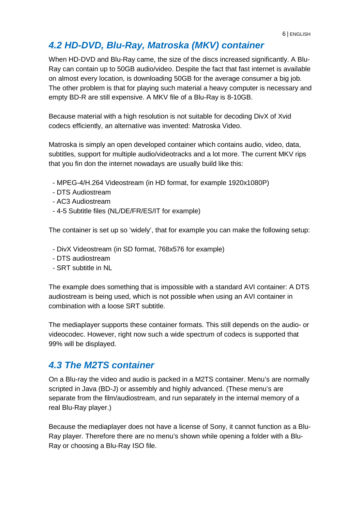### **4.2 HD-DVD, Blu-Ray, Matroska (MKV) container**

When HD-DVD and Blu-Ray came, the size of the discs increased significantly. A Blu-Ray can contain up to 50GB audio/video. Despite the fact that fast internet is available on almost every location, is downloading 50GB for the average consumer a big job. The other problem is that for playing such material a heavy computer is necessary and empty BD-R are still expensive. A MKV file of a Blu-Ray is 8-10GB.

Because material with a high resolution is not suitable for decoding DivX of Xvid codecs efficiently, an alternative was invented: Matroska Video.

Matroska is simply an open developed container which contains audio, video, data, subtitles, support for multiple audio/videotracks and a lot more. The current MKV rips that you fin don the internet nowadays are usually build like this:

- MPEG-4/H.264 Videostream (in HD format, for example 1920x1080P)
- DTS Audiostream
- AC3 Audiostream
- 4-5 Subtitle files (NL/DE/FR/ES/IT for example)

The container is set up so 'widely', that for example you can make the following setup:

- DivX Videostream (in SD format, 768x576 for example)
- DTS audiostream
- SRT subtitle in NL

The example does something that is impossible with a standard AVI container: A DTS audiostream is being used, which is not possible when using an AVI container in combination with a loose SRT subtitle.

The mediaplayer supports these container formats. This still depends on the audio- or videocodec. However, right now such a wide spectrum of codecs is supported that 99% will be displayed.

#### **4.3 The M2TS container**

On a Blu-ray the video and audio is packed in a M2TS container. Menu's are normally scripted in Java (BD-J) or assembly and highly advanced. (These menu's are separate from the film/audiostream, and run separately in the internal memory of a real Blu-Ray player.)

Because the mediaplayer does not have a license of Sony, it cannot function as a Blu-Ray player. Therefore there are no menu's shown while opening a folder with a Blu-Ray or choosing a Blu-Ray ISO file.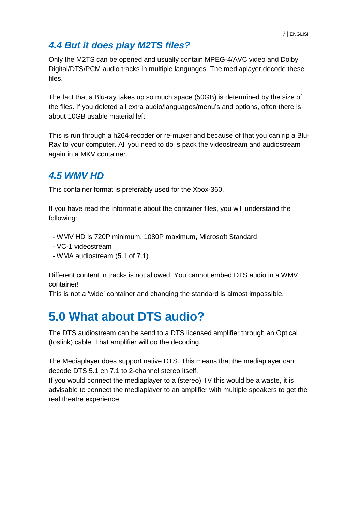### **4.4 But it does play M2TS files?**

Only the M2TS can be opened and usually contain MPEG-4/AVC video and Dolby Digital/DTS/PCM audio tracks in multiple languages. The mediaplayer decode these files.

The fact that a Blu-ray takes up so much space (50GB) is determined by the size of the files. If you deleted all extra audio/languages/menu's and options, often there is about 10GB usable material left.

This is run through a h264-recoder or re-muxer and because of that you can rip a Blu-Ray to your computer. All you need to do is pack the videostream and audiostream again in a MKV container.

#### **4.5 WMV HD**

This container format is preferably used for the Xbox-360.

If you have read the informatie about the container files, you will understand the following:

- WMV HD is 720P minimum, 1080P maximum, Microsoft Standard
- VC-1 videostream
- WMA audiostream (5.1 of 7.1)

Different content in tracks is not allowed. You cannot embed DTS audio in a WMV container!

This is not a 'wide' container and changing the standard is almost impossible.

### **5.0 What about DTS audio?**

The DTS audiostream can be send to a DTS licensed amplifier through an Optical (toslink) cable. That amplifier will do the decoding.

The Mediaplayer does support native DTS. This means that the mediaplayer can decode DTS 5.1 en 7.1 to 2-channel stereo itself.

If you would connect the mediaplayer to a (stereo) TV this would be a waste, it is advisable to connect the mediaplayer to an amplifier with multiple speakers to get the real theatre experience.